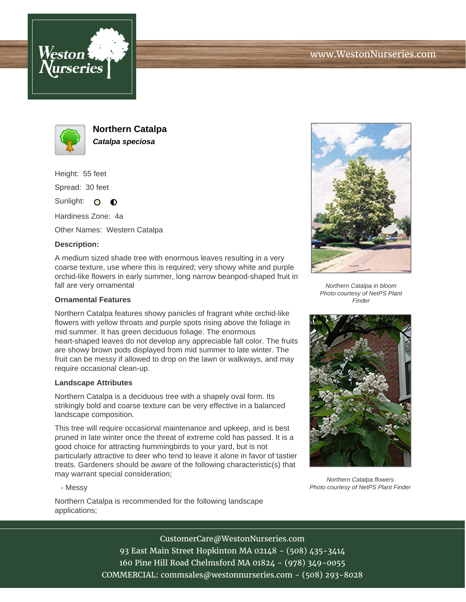





**Northern Catalpa Catalpa speciosa**

Height: 55 feet Spread: 30 feet

Sunlight: O **O** 

Hardiness Zone: 4a

Other Names: Western Catalpa

## **Description:**

A medium sized shade tree with enormous leaves resulting in a very coarse texture, use where this is required; very showy white and purple orchid-like flowers in early summer, long narrow beanpod-shaped fruit in fall are very ornamental

## **Ornamental Features**

Northern Catalpa features showy panicles of fragrant white orchid-like flowers with yellow throats and purple spots rising above the foliage in mid summer. It has green deciduous foliage. The enormous heart-shaped leaves do not develop any appreciable fall color. The fruits are showy brown pods displayed from mid summer to late winter. The fruit can be messy if allowed to drop on the lawn or walkways, and may require occasional clean-up.

## **Landscape Attributes**

Northern Catalpa is a deciduous tree with a shapely oval form. Its strikingly bold and coarse texture can be very effective in a balanced landscape composition.

This tree will require occasional maintenance and upkeep, and is best pruned in late winter once the threat of extreme cold has passed. It is a good choice for attracting hummingbirds to your yard, but is not particularly attractive to deer who tend to leave it alone in favor of tastier treats. Gardeners should be aware of the following characteristic(s) that may warrant special consideration;

- Messy

Northern Catalpa is recommended for the following landscape applications;



Northern Catalpa in bloom Photo courtesy of NetPS Plant **Finder** 



Northern Catalpa flowers Photo courtesy of NetPS Plant Finder

CustomerCare@WestonNurseries.com 93 East Main Street Hopkinton MA 02148 - (508) 435-3414 160 Pine Hill Road Chelmsford MA 01824 - (978) 349-0055 COMMERCIAL: commsales@westonnurseries.com - (508) 293-8028